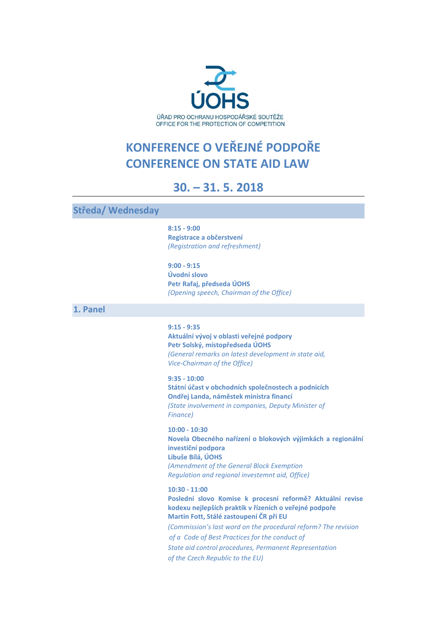

# **KONFERENCE O VEŘEJNÉ PODPOŘE CONFERENCE ON STATE AID LAW**

## **30. – 31. 5. 2018**

**Středa/ Wednesday**

**8:15 - 9:00 Registrace a občerstvení** *(Registration and refreshment)*

**9:00 - 9:15 Úvodní slovo Petr Rafaj, předseda ÚOHS** *(Opening speech, Chairman of the Office)*

**1. Panel**

#### **9:15 - 9:35**

**Aktuální vývoj v oblasti veřejné podpory Petr Solský, místopředseda ÚOHS** *(General remarks on latest development in state aid, Vice-Chairman of the Office)*

**9:35 - 10:00 Státní účast v obchodních společnostech a podnicích Ondřej Landa, náměstek ministra financí** *(State involvement in companies, Deputy Minister of Finance)*

**10:00 - 10:30 Novela Obecného nařízení o blokových výjimkách a regionální investiční podpora Libuše Bílá, ÚOHS** *(Amendment of the General Block Exemption Regulation and regional investemnt aid, Office)*

**10:30 - 11:00 Poslední slovo Komise k procesní reformě? Aktuální revise kodexu nejlepších praktik v řízeních o veřejné podpoře Martin Fott, Stálé zastoupení ČR při EU** *(Commission's last word on the procedural reform? The revision of a Code of Best Practices for the conduct of State aid control procedures, Permanent Representation of the Czech Republic to the EU)*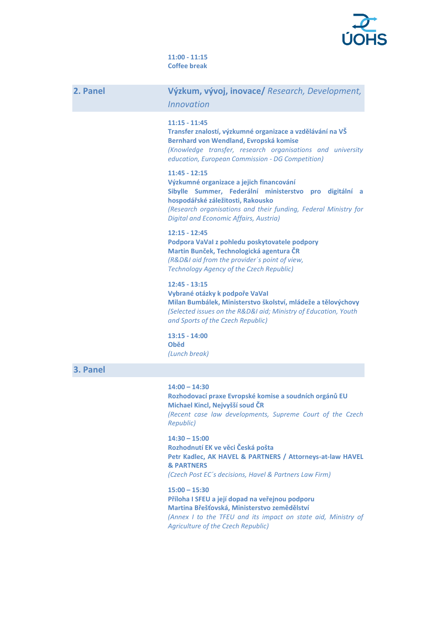

#### **11:00 - 11:15 Coffee break**

| 2. Panel | Výzkum, vývoj, inovace/ Research, Development,<br><b>Innovation</b>                                                                                                                                                                                                            |
|----------|--------------------------------------------------------------------------------------------------------------------------------------------------------------------------------------------------------------------------------------------------------------------------------|
|          | $11:15 - 11:45$<br>Transfer znalostí, výzkumné organizace a vzdělávání na VŠ<br>Bernhard von Wendland, Evropská komise<br>(Knowledge transfer, research organisations and university<br>education, European Commission - DG Competition)                                       |
|          | $11:45 - 12:15$<br>Výzkumné organizace a jejich financování<br>Sibylle Summer, Federální ministerstvo pro digitální a<br>hospodářské záležitosti, Rakousko<br>(Research organisations and their funding, Federal Ministry for<br><b>Digital and Economic Affairs, Austria)</b> |
|          | $12:15 - 12:45$<br>Podpora VaVal z pohledu poskytovatele podpory<br>Martin Bunček, Technologická agentura ČR<br>(R&D&I aid from the provider's point of view,<br><b>Technology Agency of the Czech Republic)</b>                                                               |
|          | $12:45 - 13:15$<br>Vybrané otázky k podpoře VaVal<br>Milan Bumbálek, Ministerstvo školství, mládeže a tělovýchovy<br>(Selected issues on the R&D&I aid; Ministry of Education, Youth<br>and Sports of the Czech Republic)                                                      |
|          | $13:15 - 14:00$<br><b>Oběd</b><br>(Lunch break)                                                                                                                                                                                                                                |
| 3. Panel |                                                                                                                                                                                                                                                                                |
|          | $14:00 - 14:30$<br>Rozhodovací praxe Evropské komise a soudních orgánů EU<br>Michael Kincl, Nejvyšší soud ČR<br>(Recent case law developments, Supreme Court of the Czech<br>Republic)                                                                                         |
|          | $14:30 - 15:00$<br>Rozhodnutí EK ve věci Česká pošta<br>Petr Kadlec, AK HAVEL & PARTNERS / Attorneys-at-law HAVEL<br><b>&amp; PARTNERS</b><br>(Czech Post EC's decisions, Havel & Partners Law Firm)                                                                           |
|          | $15:00 - 15:30$<br>Příloha I SFEU a její dopad na veřejnou podporu<br>Martina Břešťovská, Ministerstvo zemědělství<br>(Annex I to the TFEU and its impact on state aid, Ministry of                                                                                            |

*Agriculture of the Czech Republic)*